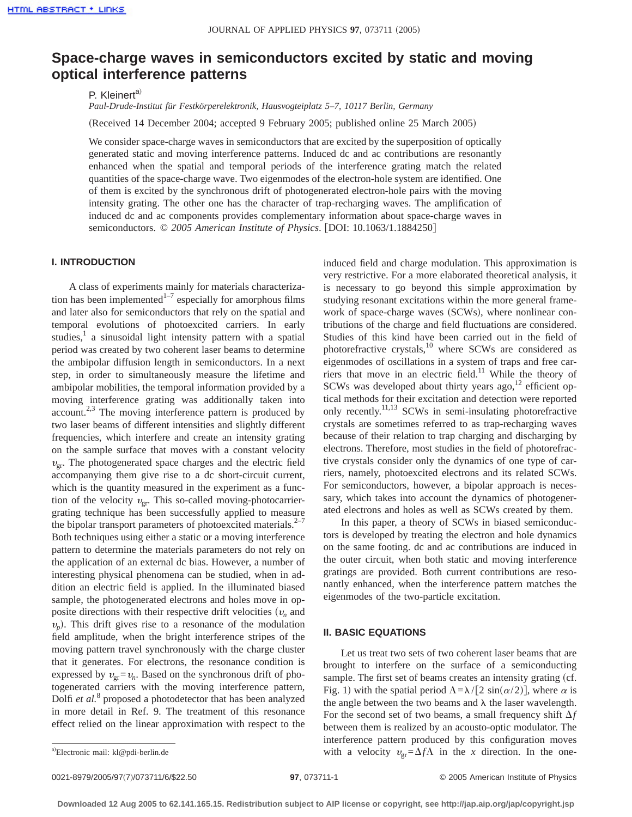# **Space-charge waves in semiconductors excited by static and moving optical interference patterns**

P. Kleinert<sup>a)</sup>

*Paul-Drude-Institut für Festkörperelektronik, Hausvogteiplatz 5–7, 10117 Berlin, Germany*

(Received 14 December 2004; accepted 9 February 2005; published online 25 March 2005)

We consider space-charge waves in semiconductors that are excited by the superposition of optically generated static and moving interference patterns. Induced dc and ac contributions are resonantly enhanced when the spatial and temporal periods of the interference grating match the related quantities of the space-charge wave. Two eigenmodes of the electron-hole system are identified. One of them is excited by the synchronous drift of photogenerated electron-hole pairs with the moving intensity grating. The other one has the character of trap-recharging waves. The amplification of induced dc and ac components provides complementary information about space-charge waves in semiconductors.  $\textcircled{ } 2005$  *American Institute of Physics*. [DOI: 10.1063/1.1884250]

## **I. INTRODUCTION**

A class of experiments mainly for materials characterization has been implemented $1-7$  especially for amorphous films and later also for semiconductors that rely on the spatial and temporal evolutions of photoexcited carriers. In early studies, $\frac{1}{x}$  a sinusoidal light intensity pattern with a spatial period was created by two coherent laser beams to determine the ambipolar diffusion length in semiconductors. In a next step, in order to simultaneously measure the lifetime and ambipolar mobilities, the temporal information provided by a moving interference grating was additionally taken into account.<sup>2,3</sup> The moving interference pattern is produced by two laser beams of different intensities and slightly different frequencies, which interfere and create an intensity grating on the sample surface that moves with a constant velocity  $v_{\text{cr}}$ . The photogenerated space charges and the electric field accompanying them give rise to a dc short-circuit current, which is the quantity measured in the experiment as a function of the velocity  $v_{gr}$ . This so-called moving-photocarriergrating technique has been successfully applied to measure the bipolar transport parameters of photoexcited materials. $2^{-7}$ Both techniques using either a static or a moving interference pattern to determine the materials parameters do not rely on the application of an external dc bias. However, a number of interesting physical phenomena can be studied, when in addition an electric field is applied. In the illuminated biased sample, the photogenerated electrons and holes move in opposite directions with their respective drift velocities  $(v_n)$  and  $v_p$ ). This drift gives rise to a resonance of the modulation field amplitude, when the bright interference stripes of the moving pattern travel synchronously with the charge cluster that it generates. For electrons, the resonance condition is expressed by  $v_{\text{gr}}=v_n$ . Based on the synchronous drift of photogenerated carriers with the moving interference pattern, Dolfi *et al.*<sup>8</sup> proposed a photodetector that has been analyzed in more detail in Ref. 9. The treatment of this resonance effect relied on the linear approximation with respect to the

induced field and charge modulation. This approximation is very restrictive. For a more elaborated theoretical analysis, it is necessary to go beyond this simple approximation by studying resonant excitations within the more general framework of space-charge waves (SCWs), where nonlinear contributions of the charge and field fluctuations are considered. Studies of this kind have been carried out in the field of photorefractive crystals,<sup>10</sup> where SCWs are considered as eigenmodes of oscillations in a system of traps and free carriers that move in an electric field.<sup>11</sup> While the theory of SCWs was developed about thirty years ago,<sup>12</sup> efficient optical methods for their excitation and detection were reported only recently.<sup>11,13</sup> SCWs in semi-insulating photorefractive crystals are sometimes referred to as trap-recharging waves because of their relation to trap charging and discharging by electrons. Therefore, most studies in the field of photorefractive crystals consider only the dynamics of one type of carriers, namely, photoexcited electrons and its related SCWs. For semiconductors, however, a bipolar approach is necessary, which takes into account the dynamics of photogenerated electrons and holes as well as SCWs created by them.

In this paper, a theory of SCWs in biased semiconductors is developed by treating the electron and hole dynamics on the same footing. dc and ac contributions are induced in the outer circuit, when both static and moving interference gratings are provided. Both current contributions are resonantly enhanced, when the interference pattern matches the eigenmodes of the two-particle excitation.

### **II. BASIC EQUATIONS**

Let us treat two sets of two coherent laser beams that are brought to interfere on the surface of a semiconducting sample. The first set of beams creates an intensity grating (cf. Fig. 1) with the spatial period  $\Lambda = \lambda/[2 \sin(\alpha/2)]$ , where  $\alpha$  is the angle between the two beams and  $\lambda$  the laser wavelength. For the second set of two beams, a small frequency shift  $\Delta f$ between them is realized by an acousto-optic modulator. The interference pattern produced by this configuration moves with a velocity  $v_{\text{gr}} = \Delta f \Lambda$  in the *x* direction. In the one-

Electronic mail: kl@pdi-berlin.de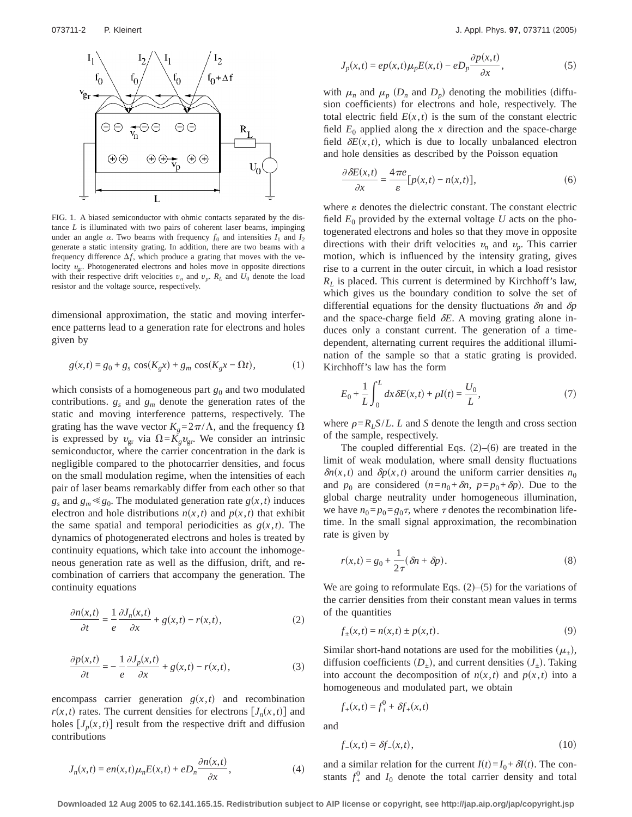

FIG. 1. A biased semiconductor with ohmic contacts separated by the distance *L* is illuminated with two pairs of coherent laser beams, impinging under an angle  $\alpha$ . Two beams with frequency  $f_0$  and intensities  $I_1$  and  $I_2$ generate a static intensity grating. In addition, there are two beams with a frequency difference  $\Delta f$ , which produce a grating that moves with the velocity  $v_{\text{gr}}$ . Photogenerated electrons and holes move in opposite directions with their respective drift velocities  $v_n$  and  $v_p$ .  $R_L$  and  $U_0$  denote the load resistor and the voltage source, respectively.

dimensional approximation, the static and moving interference patterns lead to a generation rate for electrons and holes given by

$$
g(x,t) = g_0 + g_s \cos(K_g x) + g_m \cos(K_g x - \Omega t),
$$
 (1)

which consists of a homogeneous part  $g_0$  and two modulated contributions.  $g_s$  and  $g_m$  denote the generation rates of the static and moving interference patterns, respectively. The grating has the wave vector  $K_g = 2\pi/\Lambda$ , and the frequency  $\Omega$ is expressed by  $v_{\text{gr}}$  via  $\Omega = K_g v_{\text{gr}}$ . We consider an intrinsic semiconductor, where the carrier concentration in the dark is negligible compared to the photocarrier densities, and focus on the small modulation regime, when the intensities of each pair of laser beams remarkably differ from each other so that  $g_s$  and  $g_m \ll g_0$ . The modulated generation rate  $g(x, t)$  induces electron and hole distributions  $n(x,t)$  and  $p(x,t)$  that exhibit the same spatial and temporal periodicities as  $g(x,t)$ . The dynamics of photogenerated electrons and holes is treated by continuity equations, which take into account the inhomogeneous generation rate as well as the diffusion, drift, and recombination of carriers that accompany the generation. The continuity equations

$$
\frac{\partial n(x,t)}{\partial t} = \frac{1}{e} \frac{\partial J_n(x,t)}{\partial x} + g(x,t) - r(x,t),\tag{2}
$$

$$
\frac{\partial p(x,t)}{\partial t} = -\frac{1}{e} \frac{\partial J_p(x,t)}{\partial x} + g(x,t) - r(x,t),\tag{3}
$$

encompass carrier generation  $g(x,t)$  and recombination  $r(x,t)$  rates. The current densities for electrons  $[J_n(x,t)]$  and holes  $[J_p(x,t)]$  result from the respective drift and diffusion contributions

$$
J_p(x,t) = ep(x,t)\mu_p E(x,t) - eD_p \frac{\partial p(x,t)}{\partial x},
$$
\n(5)

with  $\mu_n$  and  $\mu_p$  ( $D_n$  and  $D_p$ ) denoting the mobilities (diffusion coefficients) for electrons and hole, respectively. The total electric field  $E(x,t)$  is the sum of the constant electric field  $E_0$  applied along the *x* direction and the space-charge field  $\delta E(x,t)$ , which is due to locally unbalanced electron and hole densities as described by the Poisson equation

$$
\frac{\partial \delta E(x,t)}{\partial x} = \frac{4\pi e}{\varepsilon} [p(x,t) - n(x,t)],\tag{6}
$$

where  $\varepsilon$  denotes the dielectric constant. The constant electric field  $E_0$  provided by the external voltage  $U$  acts on the photogenerated electrons and holes so that they move in opposite directions with their drift velocities  $v_n$  and  $v_n$ . This carrier motion, which is influenced by the intensity grating, gives rise to a current in the outer circuit, in which a load resistor  $R_L$  is placed. This current is determined by Kirchhoff's law, which gives us the boundary condition to solve the set of differential equations for the density fluctuations  $\delta n$  and  $\delta p$ and the space-charge field  $\delta E$ . A moving grating alone induces only a constant current. The generation of a timedependent, alternating current requires the additional illumination of the sample so that a static grating is provided. Kirchhoff's law has the form

$$
E_0 + \frac{1}{L} \int_0^L dx \, \delta E(x, t) + \rho I(t) = \frac{U_0}{L},\tag{7}
$$

where  $\rho = R_L S/L$ . *L* and *S* denote the length and cross section of the sample, respectively.

The coupled differential Eqs.  $(2)$ – $(6)$  are treated in the limit of weak modulation, where small density fluctuations  $\delta n(x,t)$  and  $\delta p(x,t)$  around the uniform carrier densities  $n_0$ and  $p_0$  are considered  $(n=n_0+\delta n, p=p_0+\delta p)$ . Due to the global charge neutrality under homogeneous illumination, we have  $n_0=p_0=g_0\tau$ , where  $\tau$  denotes the recombination lifetime. In the small signal approximation, the recombination rate is given by

$$
r(x,t) = g_0 + \frac{1}{2\tau} (\delta n + \delta p).
$$
 (8)

We are going to reformulate Eqs.  $(2)$ – $(5)$  for the variations of the carrier densities from their constant mean values in terms of the quantities

$$
f_{\pm}(x,t) = n(x,t) \pm p(x,t).
$$
 (9)

Similar short-hand notations are used for the mobilities  $(\mu_+),$ diffusion coefficients  $(D_+)$ , and current densities  $(J_+)$ . Taking into account the decomposition of  $n(x,t)$  and  $p(x,t)$  into a homogeneous and modulated part, we obtain

$$
f_{+}(x,t) = f_{+}^{0} + \delta f_{+}(x,t)
$$

and

$$
f_{-}(x,t) = \delta f_{-}(x,t),
$$
\n(10)

and a similar relation for the current  $I(t) = I_0 + \delta I(t)$ . The constants  $f^0_+$  and  $I_0$  denote the total carrier density and total

**Downloaded 12 Aug 2005 to 62.141.165.15. Redistribution subject to AIP license or copyright, see http://jap.aip.org/jap/copyright.jsp**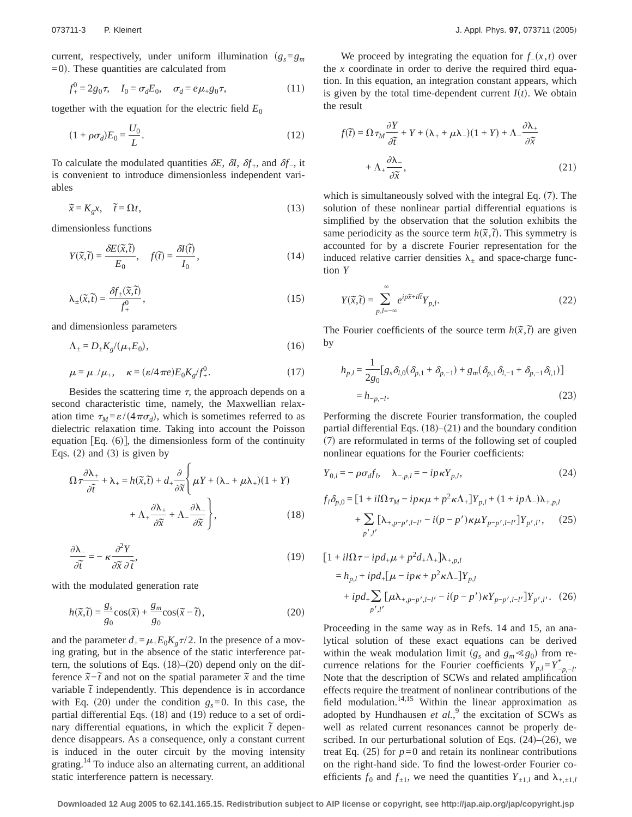current, respectively, under uniform illumination  $(g_s = g_m)$  $=0$ ). These quantities are calculated from

$$
f_{+}^{0} = 2g_{0}\tau, \quad I_{0} = \sigma_{d}E_{0}, \quad \sigma_{d} = e\mu_{+}g_{0}\tau, \tag{11}
$$

together with the equation for the electric field  $E_0$ 

$$
(1 + \rho \sigma_d) E_0 = \frac{U_0}{L}.\tag{12}
$$

To calculate the modulated quantities  $\delta E$ ,  $\delta I$ ,  $\delta f$ <sub>+</sub>, and  $\delta f$ <sub>-</sub>, it is convenient to introduce dimensionless independent variables

$$
\widetilde{x} = K_g x, \quad \widetilde{t} = \Omega t,
$$
\n(13)

dimensionless functions

$$
Y(\tilde{x}, \tilde{t}) = \frac{\partial E(\tilde{x}, \tilde{t})}{E_0}, \quad f(\tilde{t}) = \frac{\partial I(\tilde{t})}{I_0}, \tag{14}
$$

$$
\lambda_{\pm}(\tilde{x}, \tilde{t}) = \frac{\delta f_{\pm}(\tilde{x}, \tilde{t})}{f_{+}^{0}},\tag{15}
$$

and dimensionless parameters

$$
\Lambda_{\pm} = D_{\pm} K_g / (\mu_+ E_0),\tag{16}
$$

$$
\mu = \mu_{-}/\mu_{+}, \quad \kappa = (\varepsilon/4\pi e)E_0 K_g/f_{+}^0. \tag{17}
$$

Besides the scattering time  $\tau$ , the approach depends on a second characteristic time, namely, the Maxwellian relaxation time  $\tau_M = \varepsilon/(4\pi\sigma_d)$ , which is sometimes referred to as dielectric relaxation time. Taking into account the Poisson equation [Eq.  $(6)$ ], the dimensionless form of the continuity Eqs.  $(2)$  and  $(3)$  is given by

$$
\Omega \tau \frac{\partial \lambda_{+}}{\partial \tilde{t}} + \lambda_{+} = h(\tilde{x}, \tilde{t}) + d_{+} \frac{\partial}{\partial \tilde{x}} \left\{ \mu Y + (\lambda_{-} + \mu \lambda_{+}) (1 + Y) + \Lambda_{+} \frac{\partial \lambda_{+}}{\partial \tilde{x}} + \Lambda_{-} \frac{\partial \lambda_{-}}{\partial \tilde{x}} \right\},
$$
\n(18)

$$
\frac{\partial \lambda_{-}}{\partial \tilde{t}} = -\kappa \frac{\partial^2 Y}{\partial \tilde{x} \, \partial \tilde{t}},\tag{19}
$$

with the modulated generation rate

$$
h(\tilde{x}, \tilde{t}) = \frac{g_s}{g_0} \cos(\tilde{x}) + \frac{g_m}{g_0} \cos(\tilde{x} - \tilde{t}),
$$
\n(20)

and the parameter  $d_{+} = \mu_{+} E_0 K_g \tau/2$ . In the presence of a moving grating, but in the absence of the static interference pattern, the solutions of Eqs.  $(18)$ – $(20)$  depend only on the difference  $\tilde{x}$ − $\tilde{t}$  and not on the spatial parameter  $\tilde{x}$  and the time variable  $\tilde{t}$  independently. This dependence is in accordance with Eq. (20) under the condition  $g_s = 0$ . In this case, the partial differential Eqs.  $(18)$  and  $(19)$  reduce to a set of ordinary differential equations, in which the explicit  $\tilde{t}$  dependence disappears. As a consequence, only a constant current is induced in the outer circuit by the moving intensity grating.14 To induce also an alternating current, an additional static interference pattern is necessary.

We proceed by integrating the equation for  $f_-(x,t)$  over the *x* coordinate in order to derive the required third equation. In this equation, an integration constant appears, which is given by the total time-dependent current  $I(t)$ . We obtain the result

$$
f(\tilde{t}) = \Omega \tau_M \frac{\partial Y}{\partial \tilde{t}} + Y + (\lambda_+ + \mu \lambda_-)(1 + Y) + \Lambda_- \frac{\partial \lambda_+}{\partial \tilde{x}} + \Lambda_+ \frac{\partial \lambda_-}{\partial \tilde{x}},
$$
\n(21)

which is simultaneously solved with the integral Eq.  $(7)$ . The solution of these nonlinear partial differential equations is simplified by the observation that the solution exhibits the same periodicity as the source term  $h(\tilde{x}, \tilde{t})$ . This symmetry is accounted for by a discrete Fourier representation for the induced relative carrier densities  $\lambda_{\pm}$  and space-charge function *Y*

$$
Y(\tilde{x}, \tilde{t}) = \sum_{p,l=-\infty}^{\infty} e^{ip\tilde{x} + il\tilde{t}} Y_{p,l}.
$$
 (22)

The Fourier coefficients of the source term  $h(\tilde{x}, \tilde{t})$  are given by

$$
h_{p,l} = \frac{1}{2g_0} [g_s \delta_{l,0} (\delta_{p,1} + \delta_{p,-1}) + g_m (\delta_{p,1} \delta_{l,-1} + \delta_{p,-1} \delta_{l,1})]
$$
  
=  $h_{-p,-l}$ . (23)

Performing the discrete Fourier transformation, the coupled partial differential Eqs.  $(18)$ – $(21)$  and the boundary condition  $(7)$  are reformulated in terms of the following set of coupled nonlinear equations for the Fourier coefficients:

$$
Y_{0,l} = -\rho \sigma_d f_l, \quad \lambda_{-,p,l} = -ip\kappa Y_{p,l},\tag{24}
$$

$$
f_l \delta_{p,0} = [1 + il\Omega \tau_M - ip\kappa\mu + p^2 \kappa \Lambda_+] Y_{p,l} + (1 + ip\Lambda_-) \lambda_{+,p,l} + \sum_{p',l'} [\lambda_{+,p-p',l-l'} - i(p-p')\kappa\mu Y_{p-p',l-l'}] Y_{p',l'},
$$
 (25)

$$
\begin{aligned} \left[1+il\Omega\tau-ipd_{+}\mu+p^{2}d_{+}\Lambda_{+}\right] &\lambda_{+,p,l} \\ &=h_{p,l}+ipd_{+}[\mu-ip\kappa+p^{2}\kappa\Lambda_{-}]Y_{p,l} \\ &+ipd_{+}\sum_{p',l'}[\mu\lambda_{+,p-p',l-l'}-i(p-p')\kappa Y_{p-p',l-l'}]Y_{p',l'}. \end{aligned} \tag{26}
$$

Proceeding in the same way as in Refs. 14 and 15, an analytical solution of these exact equations can be derived within the weak modulation limit  $(g_s \text{ and } g_m \ll g_0)$  from recurrence relations for the Fourier coefficients  $Y_{p,l} = Y_{-p,-l}^*$ . Note that the description of SCWs and related amplification effects require the treatment of nonlinear contributions of the field modulation.<sup>14,15</sup> Within the linear approximation as adopted by Hundhausen  $et$   $al.^9$ , the excitation of SCWs as well as related current resonances cannot be properly described. In our perturbational solution of Eqs.  $(24)$ – $(26)$ , we treat Eq.  $(25)$  for  $p=0$  and retain its nonlinear contributions on the right-hand side. To find the lowest-order Fourier coefficients  $f_0$  and  $f_{\pm 1}$ , we need the quantities  $Y_{\pm 1,l}$  and  $\lambda_{+,\pm 1,l}$ 

**Downloaded 12 Aug 2005 to 62.141.165.15. Redistribution subject to AIP license or copyright, see http://jap.aip.org/jap/copyright.jsp**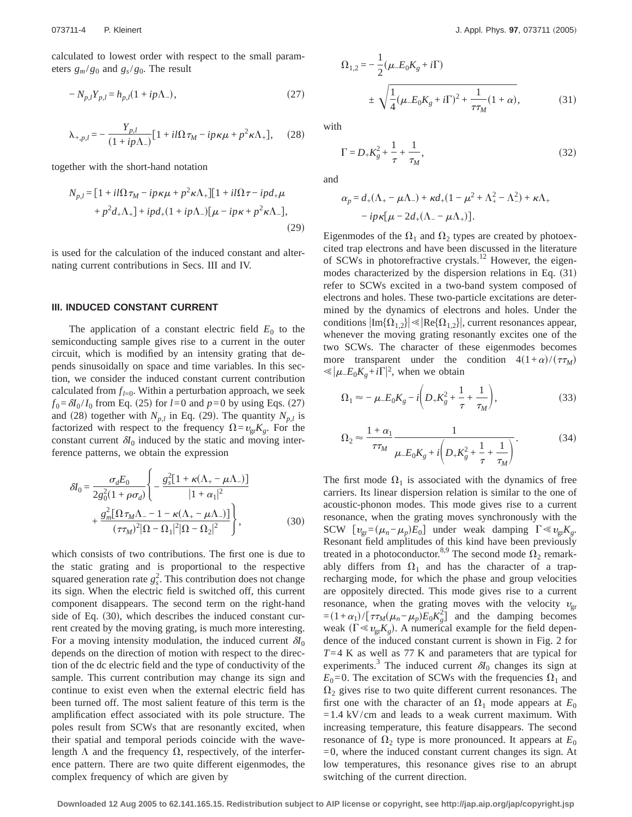calculated to lowest order with respect to the small parameters  $g_m/g_0$  and  $g_s/g_0$ . The result

$$
-N_{p,l}Y_{p,l} = h_{p,l}(1 + ip\Lambda_{-}),
$$
\n(27)

$$
\lambda_{+,p,l} = -\frac{Y_{p,l}}{(1+i p\Lambda_-)} [1+i l\Omega \tau_M - ip\kappa \mu + p^2 \kappa \Lambda_+], \quad (28)
$$

together with the short-hand notation

$$
N_{p,l} = [1 + il\Omega\tau_M - ip\kappa\mu + p^2\kappa\Lambda_+][1 + il\Omega\tau - ipd_+\mu
$$
  
+  $p^2d_+\Lambda_+]+ipd_+(1+ip\Lambda_-)[\mu - ip\kappa + p^2\kappa\Lambda_-],$  (29)

is used for the calculation of the induced constant and alternating current contributions in Secs. III and IV.

#### **III. INDUCED CONSTANT CURRENT**

The application of a constant electric field  $E_0$  to the semiconducting sample gives rise to a current in the outer circuit, which is modified by an intensity grating that depends sinusoidally on space and time variables. In this section, we consider the induced constant current contribution calculated from  $f_{l=0}$ . Within a perturbation approach, we seek  $f_0 = \delta I_0 / I_0$  from Eq. (25) for *l*=0 and *p*=0 by using Eqs. (27) and (28) together with  $N_{p,l}$  in Eq. (29). The quantity  $N_{p,l}$  is factorized with respect to the frequency  $\Omega = v_{\text{gr}} K_g$ . For the constant current  $\delta I_0$  induced by the static and moving interference patterns, we obtain the expression

$$
\delta I_0 = \frac{\sigma_d E_0}{2g_0^2 (1 + \rho \sigma_d)} \left\{ -\frac{g_s^2 [1 + \kappa (\Lambda_+ - \mu \Lambda_-)]}{|1 + \alpha_1|^2} + \frac{g_m^2 [\Omega \tau_M \Lambda_- - 1 - \kappa (\Lambda_+ - \mu \Lambda_-)]}{(\tau \tau_M)^2 |\Omega - \Omega_1|^2 |\Omega - \Omega_2|^2} \right\},
$$
(30)

which consists of two contributions. The first one is due to the static grating and is proportional to the respective squared generation rate  $g_s^2$ . This contribution does not change its sign. When the electric field is switched off, this current component disappears. The second term on the right-hand side of Eq.  $(30)$ , which describes the induced constant current created by the moving grating, is much more interesting. For a moving intensity modulation, the induced current  $\delta I_0$ depends on the direction of motion with respect to the direction of the dc electric field and the type of conductivity of the sample. This current contribution may change its sign and continue to exist even when the external electric field has been turned off. The most salient feature of this term is the amplification effect associated with its pole structure. The poles result from SCWs that are resonantly excited, when their spatial and temporal periods coincide with the wavelength  $\Lambda$  and the frequency  $\Omega$ , respectively, of the interference pattern. There are two quite different eigenmodes, the complex frequency of which are given by

$$
\Omega_{1,2} = -\frac{1}{2} (\mu_- E_0 K_g + i\Gamma)
$$
  

$$
\pm \sqrt{\frac{1}{4} (\mu_- E_0 K_g + i\Gamma)^2 + \frac{1}{\tau \tau_M} (1 + \alpha)},
$$
(31)

with

$$
\Gamma = D_{+} K_{g}^{2} + \frac{1}{\tau} + \frac{1}{\tau_{M}},
$$
\n(32)

and

$$
\alpha_p = d_{+}(\Lambda_{+} - \mu \Lambda_{-}) + \kappa d_{+}(1 - \mu^2 + \Lambda_{+}^2 - \Lambda_{-}^2) + \kappa \Lambda_{+} - ip\kappa[\mu - 2d_{+}(\Lambda_{-} - \mu \Lambda_{+})].
$$

Eigenmodes of the  $\Omega_1$  and  $\Omega_2$  types are created by photoexcited trap electrons and have been discussed in the literature of SCWs in photorefractive crystals.<sup>12</sup> However, the eigenmodes characterized by the dispersion relations in Eq.  $(31)$ refer to SCWs excited in a two-band system composed of electrons and holes. These two-particle excitations are determined by the dynamics of electrons and holes. Under the conditions  $|\text{Im}\{\Omega_{1,2}\}| \ll |\text{Re}\{\Omega_{1,2}\}|$ , current resonances appear, whenever the moving grating resonantly excites one of the two SCWs. The character of these eigenmodes becomes more transparent under the condition  $4(1+\alpha)/(\tau\tau_M)$  $\ll |\mu_{-}E_0K_g + i\Gamma|^2$ , when we obtain

$$
\Omega_1 \approx -\mu_- E_0 K_g - i \left( D_+ K_g^2 + \frac{1}{\tau} + \frac{1}{\tau_M} \right),\tag{33}
$$

$$
\Omega_2 \approx \frac{1+\alpha_1}{\tau \tau_M} \frac{1}{\mu_- E_0 K_g + i \left( D_+ K_g^2 + \frac{1}{\tau} + \frac{1}{\tau_M} \right)}.
$$
\n(34)

The first mode  $\Omega_1$  is associated with the dynamics of free carriers. Its linear dispersion relation is similar to the one of acoustic-phonon modes. This mode gives rise to a current resonance, when the grating moves synchronously with the SCW  $[v_{\text{gr}}=(\mu_n-\mu_p)E_0]$  under weak damping  $\Gamma \ll v_{\text{gr}}K_g$ . Resonant field amplitudes of this kind have been previously treated in a photoconductor.<sup>8,9</sup> The second mode  $\Omega_2$  remarkably differs from  $\Omega_1$  and has the character of a traprecharging mode, for which the phase and group velocities are oppositely directed. This mode gives rise to a current resonance, when the grating moves with the velocity  $v_{gr}$  $=(1+\alpha_1)/[\tau\tau_M(\mu_n-\mu_p)E_0K_g^2]$  and the damping becomes weak  $(\Gamma \ll v_{gr}K_g)$ . A numerical example for the field dependence of the induced constant current is shown in Fig. 2 for *T*=4 K as well as 77 K and parameters that are typical for experiments.<sup>3</sup> The induced current  $\delta I_0$  changes its sign at  $E_0$ =0. The excitation of SCWs with the frequencies  $\Omega_1$  and  $\Omega_2$  gives rise to two quite different current resonances. The first one with the character of an  $\Omega_1$  mode appears at  $E_0$  $=1.4 \text{ kV/cm}$  and leads to a weak current maximum. With increasing temperature, this feature disappears. The second resonance of  $\Omega_2$  type is more pronounced. It appears at  $E_0$  $=0$ , where the induced constant current changes its sign. At low temperatures, this resonance gives rise to an abrupt switching of the current direction.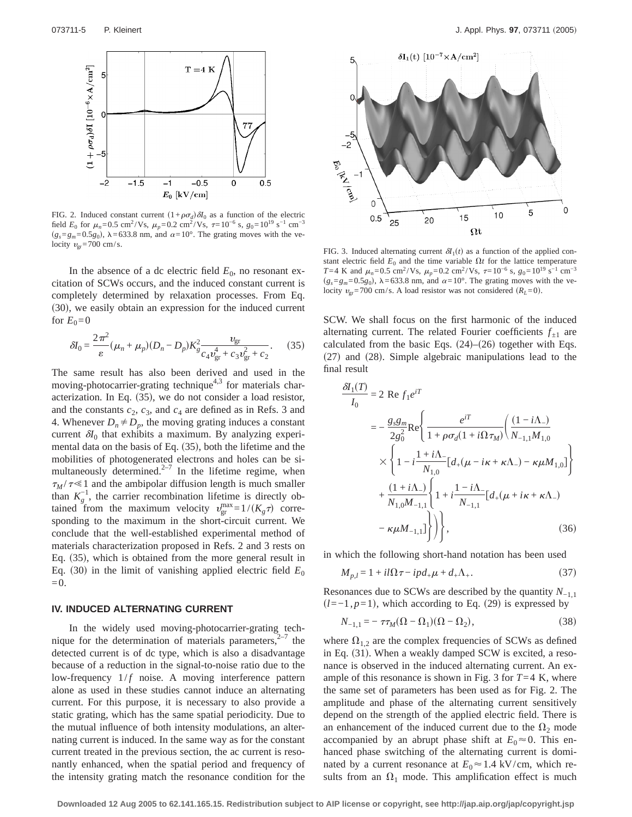

FIG. 2. Induced constant current  $(1+\rho\sigma_d)\delta I_0$  as a function of the electric field  $E_0$  for  $\mu_n$ =0.5 cm<sup>2</sup>/Vs,  $\mu_p$ =0.2 cm<sup>2</sup>/Vs,  $\tau$ =10<sup>-6</sup> s,  $g_0$ =10<sup>19</sup> s<sup>-1</sup> cm<sup>-3</sup>  $(g_s = g_m = 0.5g_0)$ ,  $\lambda = 633.8$  nm, and  $\alpha = 10^\circ$ . The grating moves with the velocity  $v_{\rm gr}$ =700 cm/s.

In the absence of a dc electric field  $E_0$ , no resonant excitation of SCWs occurs, and the induced constant current is completely determined by relaxation processes. From Eq. (30), we easily obtain an expression for the induced current for  $E_0=0$ 

$$
\delta I_0 = \frac{2\pi^2}{\varepsilon} (\mu_n + \mu_p)(D_n - D_p) K_{g}^2 \frac{v_{\rm gr}}{c_4 v_{\rm gr}^4 + c_3 v_{\rm gr}^2 + c_2}.
$$
 (35)

The same result has also been derived and used in the moving-photocarrier-grating technique<sup>4,3</sup> for materials characterization. In Eq.  $(35)$ , we do not consider a load resistor, and the constants  $c_2$ ,  $c_3$ , and  $c_4$  are defined as in Refs. 3 and 4. Whenever  $D_n \neq D_p$ , the moving grating induces a constant current  $\delta I_0$  that exhibits a maximum. By analyzing experimental data on the basis of Eq.  $(35)$ , both the lifetime and the mobilities of photogenerated electrons and holes can be simultaneously determined. $2^{-7}$  In the lifetime regime, when  $\tau_M / \tau \ll 1$  and the ambipolar diffusion length is much smaller than  $K_g^{-1}$ , the carrier recombination lifetime is directly obtained from the maximum velocity  $v_{\text{gr}}^{\text{max}} = 1/(K_g \tau)$  corresponding to the maximum in the short-circuit current. We conclude that the well-established experimental method of materials characterization proposed in Refs. 2 and 3 rests on Eq.  $(35)$ , which is obtained from the more general result in Eq. (30) in the limit of vanishing applied electric field  $E_0$  $=0.$ 

#### **IV. INDUCED ALTERNATING CURRENT**

In the widely used moving-photocarrier-grating technique for the determination of materials parameters, $2^{-7}$  the detected current is of dc type, which is also a disadvantage because of a reduction in the signal-to-noise ratio due to the low-frequency  $1/f$  noise. A moving interference pattern alone as used in these studies cannot induce an alternating current. For this purpose, it is necessary to also provide a static grating, which has the same spatial periodicity. Due to the mutual influence of both intensity modulations, an alternating current is induced. In the same way as for the constant current treated in the previous section, the ac current is resonantly enhanced, when the spatial period and frequency of the intensity grating match the resonance condition for the



FIG. 3. Induced alternating current  $\delta I_1(t)$  as a function of the applied constant electric field  $E_0$  and the time variable  $\Omega t$  for the lattice temperature *T*=4 K and  $\mu_n$ =0.5 cm<sup>2</sup>/Vs,  $\mu_p$ =0.2 cm<sup>2</sup>/Vs,  $\tau$ =10<sup>-6</sup> s,  $g_0$ =10<sup>19</sup> s<sup>-1</sup> cm<sup>-3</sup>  $(g_s = g_m = 0.5g_0)$ ,  $\lambda = 633.8$  nm, and  $\alpha = 10^\circ$ . The grating moves with the velocity  $v_{\text{gr}}$ =700 cm/s. A load resistor was not considered  $(R_L=0)$ .

SCW. We shall focus on the first harmonic of the induced alternating current. The related Fourier coefficients  $f_{\pm 1}$  are calculated from the basic Eqs.  $(24)$ – $(26)$  together with Eqs.  $(27)$  and  $(28)$ . Simple algebraic manipulations lead to the final result

$$
\frac{dN_1(T)}{I_0} = 2 \text{ Re } f_1 e^{iT}
$$
\n
$$
= -\frac{g_s g_m}{2g_0^2} \text{Re} \left\{ \frac{e^{iT}}{1 + \rho \sigma_d (1 + i\Omega \tau_M)} \left( \frac{(1 - i\Lambda_-)}{N_{-1,1} M_{1,0}} \right) \times \left\{ 1 - i \frac{1 + i\Lambda_-}{N_{1,0}} [d_+(\mu - i\kappa + \kappa\Lambda_-) - \kappa \mu M_{1,0}] \right\} + \frac{(1 + i\Lambda_-)}{N_{1,0} M_{-1,1}} \left\{ 1 + i \frac{1 - i\Lambda_-}{N_{-1,1}} [d_+(\mu + i\kappa + \kappa\Lambda_-) - \kappa \mu M_{-1,1}] \right\} \right\}, \tag{36}
$$

in which the following short-hand notation has been used

$$
M_{p,l} = 1 + i l \Omega \tau - i p d_+ \mu + d_+ \Lambda_+.
$$
 (37)

Resonances due to SCWs are described by the quantity *N*−1,1  $(l=-1, p=1)$ , which according to Eq. (29) is expressed by

$$
N_{-1,1} = -\tau \tau_M (\Omega - \Omega_1)(\Omega - \Omega_2),\tag{38}
$$

where  $\Omega_{1,2}$  are the complex frequencies of SCWs as defined in Eq.  $(31)$ . When a weakly damped SCW is excited, a resonance is observed in the induced alternating current. An example of this resonance is shown in Fig. 3 for  $T=4$  K, where the same set of parameters has been used as for Fig. 2. The amplitude and phase of the alternating current sensitively depend on the strength of the applied electric field. There is an enhancement of the induced current due to the  $\Omega_2$  mode accompanied by an abrupt phase shift at  $E_0 \approx 0$ . This enhanced phase switching of the alternating current is dominated by a current resonance at  $E_0 \approx 1.4 \text{ kV/cm}$ , which results from an  $\Omega_1$  mode. This amplification effect is much

<sup>d</sup>*I*1s*T*d